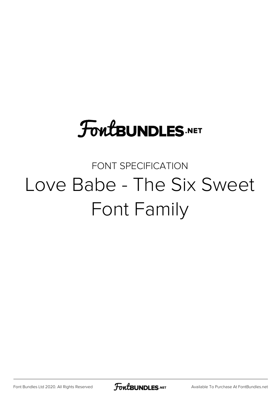### **FoutBUNDLES.NET**

### FONT SPECIFICATION Love Babe - The Six Sweet Font Family

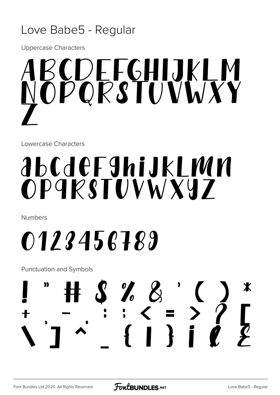#### Love Babe5 - Regular

**Uppercase Characters** 

## <u>CDEFGHIJKLM</u> QRSTUVWYY

Lowercase Characters

## abCdeF9hiJkLMM OPTRSTUVWXY7

**Numbers** 

## 0123456789

**Punctuation and Symbols** 

## $\frac{7}{100}$   $\frac{2}{50}$   $\frac{2}{50}$   $\frac{2}{50}$ Ж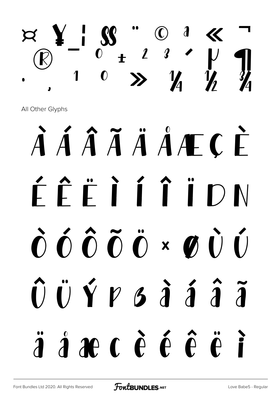$\approx$   $\frac{1}{2}$   $\frac{1}{2}$   $\frac{1}{2}$   $\frac{1}{2}$   $\frac{1}{2}$   $\frac{1}{2}$   $\frac{1}{2}$   $\frac{1}{2}$   $\frac{1}{2}$   $\frac{1}{2}$   $\frac{1}{2}$   $\frac{1}{2}$   $\frac{1}{2}$   $\frac{1}{2}$   $\frac{1}{2}$   $\frac{1}{2}$   $\frac{1}{2}$   $\frac{1}{2}$   $\frac{1}{2}$   $\frac{1}{2}$   $\frac{1}{2}$   $\frac{1}{$  $\mathbb{C}$   $\mathbb{C}$   $\mathbb{C}$   $\mathbb{C}$   $\mathbb{C}$   $\mathbb{C}$   $\mathbb{C}$   $\mathbb{C}$   $\mathbb{C}$   $\mathbb{C}$   $\mathbb{C}$   $\mathbb{C}$   $\mathbb{C}$   $\mathbb{C}$   $\mathbb{C}$   $\mathbb{C}$   $\mathbb{C}$   $\mathbb{C}$   $\mathbb{C}$   $\mathbb{C}$   $\mathbb{C}$   $\mathbb{C}$   $\mathbb{C}$   $\mathbb{C}$   $\mathbb{$ · ¸ ¹ º » ¼ ½ ¾

# À Á Â Ã Ä ÅÆ Ç È É Ê Ë Ì Í Î Ï Ð Ñ  $\dot{0}$   $\dot{0}$   $\ddot{0}$   $\ddot{0}$   $\ddot{0}$   $\times$   $\ddot{0}$   $\dot{0}$  $\hat{U}$   $\ddot{V}$   $\gamma$   $\beta$   $\dot{d}$   $\dot{d}$   $\ddot{d}$ ä å æ ç è é ê ë ì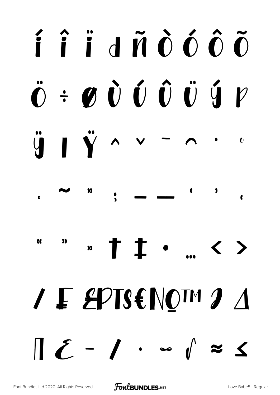## í î ï ð ñ ò ó ô õ  $\ddot{\mathbf{O}}$   $\div$  0  $\dot{\mathbf{O}}$   $\dot{\mathbf{O}}$   $\ddot{\mathbf{O}}$   $\ddot{\mathbf{O}}$   $\ddot{\mathbf{O}}$   $\ddot{\mathbf{O}}$   $\ddot{\mathbf{O}}$   $\ddot{\mathbf{O}}$   $\ddot{\mathbf{O}}$   $\ddot{\mathbf{O}}$   $\ddot{\mathbf{O}}$  $\ddot{y}$   $\ddot{y}$   $\sim$   $\sim$   $\sim$   $\sim$   $\sim$   $\sim$ ˛  $\frac{1}{2}$  $\overline{\phantom{a}}$ '  $\mathbf{u}$  " " † ‡ • … ‹ › ⁄ ₣ ₤₧€№™ ∂ ∆ ∏ ∑ − ∕ ∙ ∞ ∫ ≈ ≤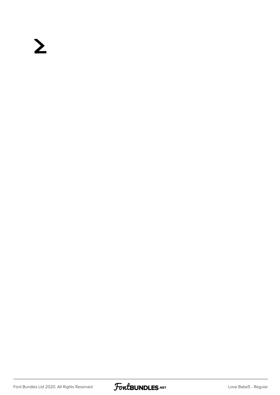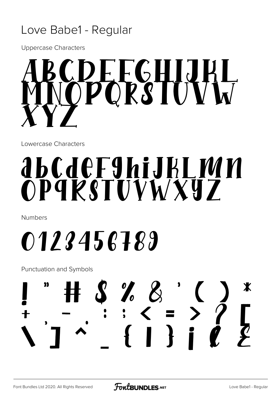#### Love Babe1 - Regular

**Uppercase Characters** 



Lowercase Characters

## abcdeF9hiJELMM **OPTRETUVWXT7**

**Numbers** 

## 0123456789

**Punctuation and Symbols** 

## $\frac{7}{100}$   $\frac{2}{100}$   $\frac{2}{100}$   $\frac{2}{100}$ N Ж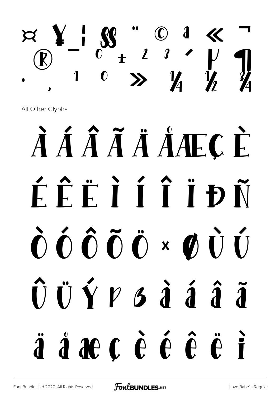$\approx$   $\frac{1}{2}$   $\frac{1}{2}$   $\frac{1}{2}$   $\frac{1}{2}$   $\frac{1}{2}$   $\frac{1}{2}$   $\frac{1}{2}$   $\frac{1}{2}$   $\frac{1}{2}$   $\frac{1}{2}$   $\frac{1}{2}$   $\frac{1}{2}$   $\frac{1}{2}$   $\frac{1}{2}$   $\frac{1}{2}$   $\frac{1}{2}$   $\frac{1}{2}$   $\frac{1}{2}$   $\frac{1}{2}$   $\frac{1}{2}$   $\frac{1}{2}$   $\frac{1}{$  $\mathbb{R}$   $\begin{array}{ccc} \mathbb{R} & \begin{array}{ccc} \hline \end{array} & \mathbb{C} & \mathbb{R} & \mathbb{R} & \mathbb{R} & \mathbb{R} & \mathbb{R} & \mathbb{R} & \mathbb{R} & \mathbb{R} & \mathbb{R} & \mathbb{R} & \mathbb{R} & \mathbb{R} & \mathbb{R} & \mathbb{R} & \mathbb{R} & \mathbb{R} & \mathbb{R} & \mathbb{R} & \mathbb{R} & \mathbb{R} & \mathbb{R} & \mathbb{R} & \mathbb{R} & \mathbb{R} & \mathbb{R}$ · ¸ ¹ º » ¼ ½ ¾

# À Á Â Ã Ä ÅÆÇ È É Ê Ë Ì Í Î Ï Ð Ñ Ò Ó Ô Õ Ö × Ø Ù Ú  $\hat{U}$   $\ddot{V}$   $\hat{V}$   $\hat{V}$   $\hat{B}$   $\hat{A}$   $\hat{A}$   $\hat{B}$ ä å æ ç è é ê ë ì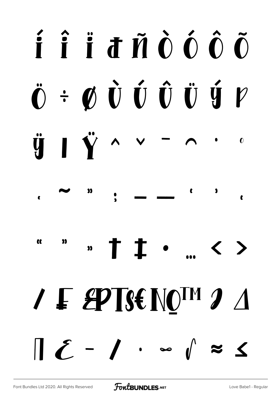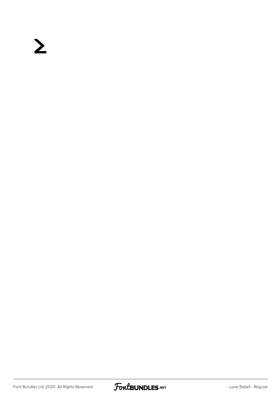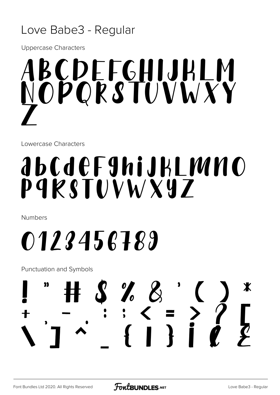#### Love Babe3 - Regular

**Uppercase Characters** 

## BCDEFGHIJHLM OPORSTUVWXY

Lowercase Characters

## abcdeFghiJkLMMO **PIRSTUVWXYZ**

**Numbers** 

## 0123456789

**Punctuation and Symbols** 

# $\begin{array}{ccc} 2 & 2 & 2 \\ 3 & 3 & 2 \\ 1 & 1 & 3 \end{array}$ Ж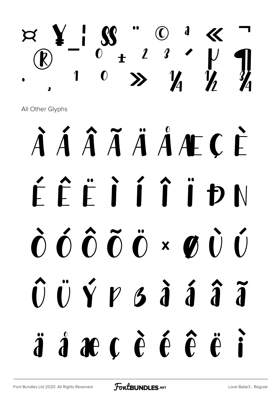$\approx$   $\frac{1}{2}$   $\frac{1}{2}$   $\frac{1}{2}$   $\frac{1}{2}$   $\frac{1}{2}$   $\frac{1}{2}$   $\frac{1}{2}$   $\frac{1}{2}$   $\frac{1}{2}$   $\frac{1}{2}$   $\frac{1}{2}$   $\frac{1}{2}$   $\frac{1}{2}$   $\frac{1}{2}$   $\frac{1}{2}$   $\frac{1}{2}$   $\frac{1}{2}$   $\frac{1}{2}$   $\frac{1}{2}$   $\frac{1}{2}$   $\frac{1}{2}$   $\frac{1}{$  $\mathbb{R}$   $\mathbb{C}$   $\mathbb{C}$   $\mathbb{C}$   $\mathbb{C}$   $\mathbb{C}$   $\mathbb{C}$   $\mathbb{C}$   $\mathbb{C}$   $\mathbb{C}$   $\mathbb{C}$   $\mathbb{C}$   $\mathbb{C}$   $\mathbb{C}$   $\mathbb{C}$   $\mathbb{C}$   $\mathbb{C}$   $\mathbb{C}$   $\mathbb{C}$   $\mathbb{C}$   $\mathbb{C}$   $\mathbb{C}$   $\mathbb{C}$   $\mathbb{C}$   $\mathbb{$ · ¸ ¹ º » ¼ ½ ¾

# À Á Â Ã Ä Å Æ Ç È É Ê Ë Ì Í Î Ï Ð Ñ  $\delta$   $\delta$   $\tilde{0}$   $\tilde{0}$   $\tilde{0}$   $\times$   $\tilde{0}$   $\tilde{0}$  $\hat{U}$   $\ddot{V}$   $Y$   $B$   $\hat{d}$   $\hat{d}$   $\hat{d}$ ä å æ ç è é ê ë ì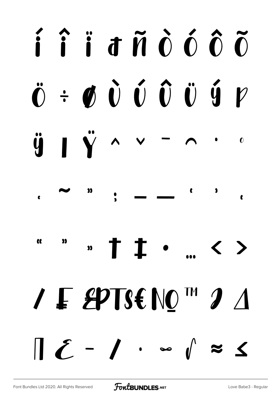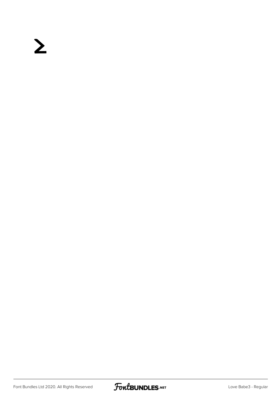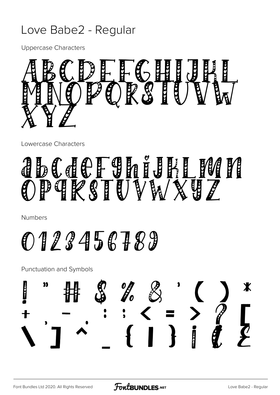#### Love Babe2 - Regular

**Uppercase Characters** 



Lowercase Characters



Numbers

## 0123456189

**Punctuation and Symbols** 

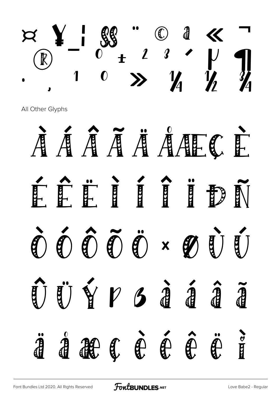$\approx$   $\frac{1}{39}$   $\approx$   $\frac{1}{39}$   $\approx$   $\frac{1}{39}$   $\approx$   $\approx$   $\approx$  $\mathbb{R}$   $\begin{bmatrix} 0 & - & 0 \\ 0 & - & 1 \end{bmatrix}$ · ¸ ¹ º » ¼ ½ ¾

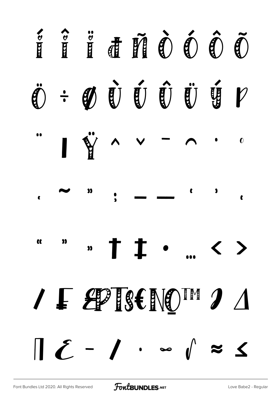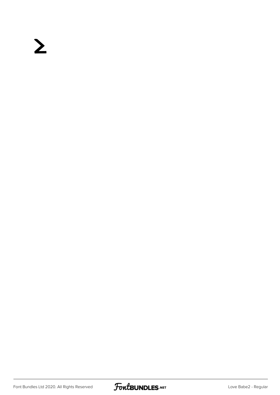![](_page_16_Picture_2.jpeg)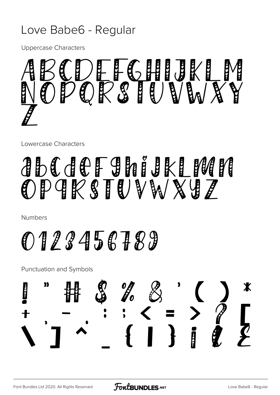#### Love Babe6 - Regular

**Uppercase Characters** 

![](_page_17_Picture_2.jpeg)

Lowercase Characters

![](_page_17_Picture_4.jpeg)

Numbers

## 0123456789

**Punctuation and Symbols** 

![](_page_17_Picture_8.jpeg)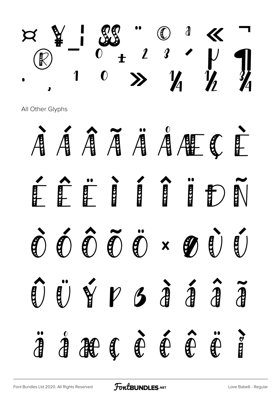![](_page_18_Picture_0.jpeg)

![](_page_18_Picture_2.jpeg)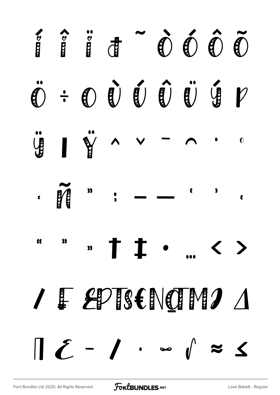![](_page_19_Figure_0.jpeg)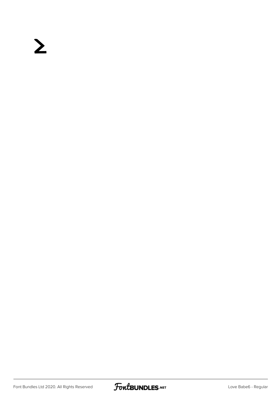![](_page_20_Picture_2.jpeg)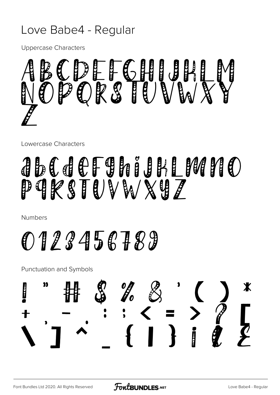#### Love Babe4 - Regular

**Uppercase Characters** 

![](_page_21_Picture_2.jpeg)

Lowercase Characters

![](_page_21_Picture_4.jpeg)

Numbers

### 0123456189

**Punctuation and Symbols** 

![](_page_21_Picture_8.jpeg)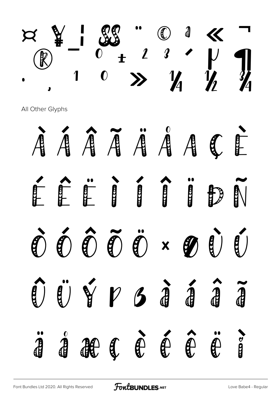![](_page_22_Picture_0.jpeg)

![](_page_22_Picture_2.jpeg)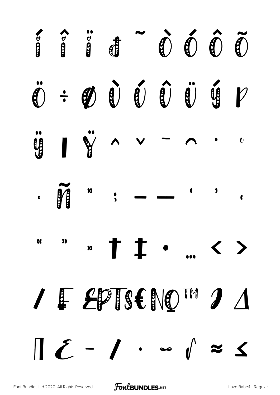![](_page_23_Figure_0.jpeg)